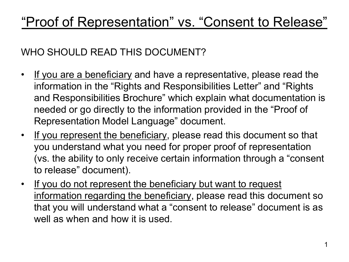# "Proof of Representation" vs. "Consent to Release"

#### WHO SHOULD READ THIS DOCUMENT?

- If you are a beneficiary and have a representative, please read the information in the "Rights and Responsibilities Letter" and "Rights and Responsibilities Brochure" which explain what documentation is needed or go directly to the information provided in the "Proof of Representation Model Language" document.
- If you represent the beneficiary, please read this document so that you understand what you need for proper proof of representation (vs. the ability to only receive certain information through a "consent to release" document).
- If you do not represent the beneficiary but want to request information regarding the beneficiary, please read this document so that you will understand what a "consent to release" document is as well as when and how it is used.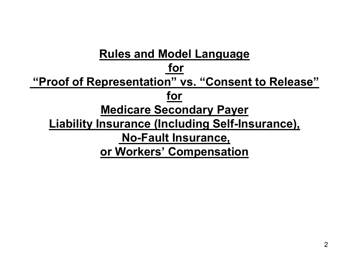## **Rules and Model Language for "Proof of Representation" vs. "Consent to Release" for Medicare Secondary Payer Liability Insurance (Including Self-Insurance), No-Fault Insurance, or Workers' Compensation**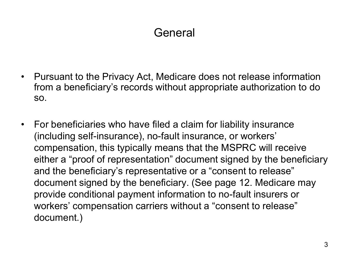## General

- Pursuant to the Privacy Act, Medicare does not release information from a beneficiary's records without appropriate authorization to do so.
- For beneficiaries who have filed a claim for liability insurance (including self-insurance), no-fault insurance, or workers' compensation, this typically means that the MSPRC will receive either a "proof of representation" document signed by the beneficiary and the beneficiary's representative or a "consent to release" document signed by the beneficiary. (See page 12. Medicare may provide conditional payment information to no-fault insurers or workers' compensation carriers without a "consent to release" document.)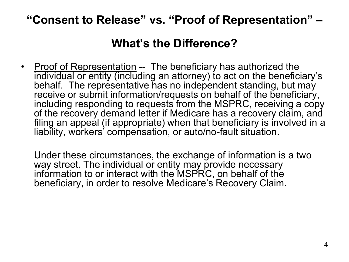#### **"Consent to Release" vs. "Proof of Representation" –**

#### **What's the Difference?**

• Proof of Representation -- The beneficiary has authorized the individual or entity (including an attorney) to act on the beneficiary's behalf. The representative has no independent standing, but may receive or submit information/requests on behalf of the beneficiary, including responding to requests from the MSPRC, receiving a copy of the recovery demand letter if Medicare has a recovery claim, and filing an appeal (if appropriate) when that beneficiary is involved in a liability, workers' compensation, or auto/no-fault situation.

 Under these circumstances, the exchange of information is a two way street. The individual or entity may provide necessary information to or interact with the MSPRC, on behalf of the beneficiary, in order to resolve Medicare's Recovery Claim.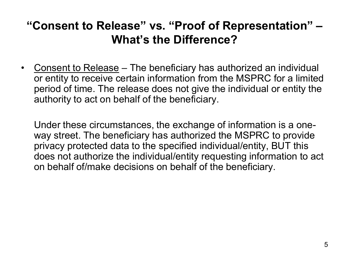#### **"Consent to Release" vs. "Proof of Representation" – What's the Difference?**

• Consent to Release – The beneficiary has authorized an individual or entity to receive certain information from the MSPRC for a limited period of time. The release does not give the individual or entity the authority to act on behalf of the beneficiary.

 Under these circumstances, the exchange of information is a oneway street. The beneficiary has authorized the MSPRC to provide privacy protected data to the specified individual/entity, BUT this does not authorize the individual/entity requesting information to act on behalf of/make decisions on behalf of the beneficiary.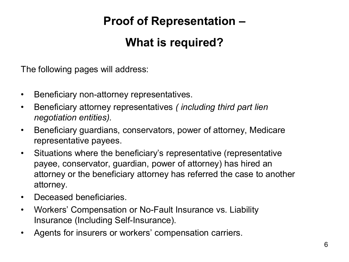#### **Proof of Representation –**

#### **What is required?**

The following pages will address:

- Beneficiary non-attorney representatives.
- Beneficiary attorney representatives *( including third part lien negotiation entities).*
- Beneficiary guardians, conservators, power of attorney, Medicare representative payees.
- Situations where the beneficiary's representative (representative payee, conservator, guardian, power of attorney) has hired an attorney or the beneficiary attorney has referred the case to another attorney.
- Deceased beneficiaries.
- Workers' Compensation or No-Fault Insurance vs. Liability Insurance (Including Self-Insurance).
- Agents for insurers or workers' compensation carriers.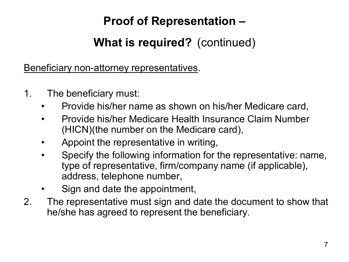### **Proof of Representation –**

## **What is required?** (continued)

Beneficiary non-attorney representatives.

- 1. The beneficiary must:
	- Provide his/her name as shown on his/her Medicare card,
	- Provide his/her Medicare Health Insurance Claim Number (HICN)(the number on the Medicare card),
	- Appoint the representative in writing,
	- Specify the following information for the representative: name, type of representative, firm/company name (if applicable), address, telephone number,
	- Sign and date the appointment,
- 2. The representative must sign and date the document to show that he/she has agreed to represent the beneficiary.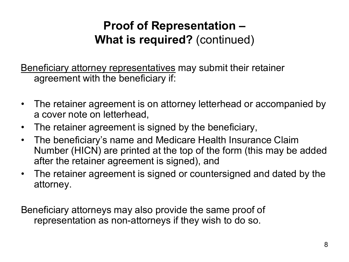Beneficiary attorney representatives may submit their retainer agreement with the beneficiary if:

- The retainer agreement is on attorney letterhead or accompanied by a cover note on letterhead,
- The retainer agreement is signed by the beneficiary,
- The beneficiary's name and Medicare Health Insurance Claim Number (HICN) are printed at the top of the form (this may be added after the retainer agreement is signed), and
- The retainer agreement is signed or countersigned and dated by the attorney.

Beneficiary attorneys may also provide the same proof of representation as non-attorneys if they wish to do so.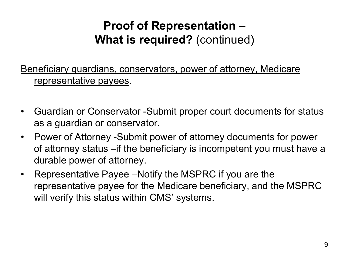Beneficiary guardians, conservators, power of attorney, Medicare representative payees.

- Guardian or Conservator -Submit proper court documents for status as a guardian or conservator.
- Power of Attorney -Submit power of attorney documents for power of attorney status –if the beneficiary is incompetent you must have a durable power of attorney.
- Representative Payee –Notify the MSPRC if you are the representative payee for the Medicare beneficiary, and the MSPRC will verify this status within CMS' systems.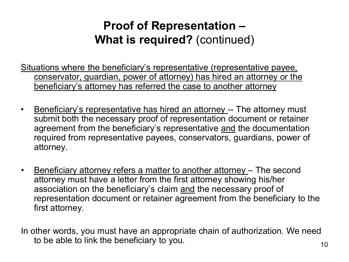- Situations where the beneficiary's representative (representative payee, conservator, guardian, power of attorney) has hired an attorney or the beneficiary's attorney has referred the case to another attorney
- Beneficiary's representative has hired an attorney -- The attorney must submit both the necessary proof of representation document or retainer agreement from the beneficiary's representative and the documentation required from representative payees, conservators, guardians, power of attorney.
- Beneficiary attorney refers a matter to another attorney The second attorney must have a letter from the first attorney showing his/her association on the beneficiary's claim and the necessary proof of representation document or retainer agreement from the beneficiary to the first attorney.
- In other words, you must have an appropriate chain of authorization. We need to be able to link the beneficiary to you.  $10^{10}$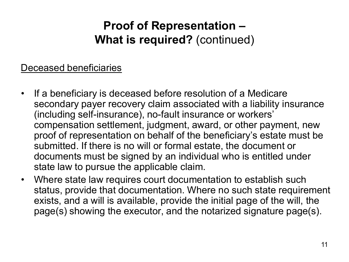#### Deceased beneficiaries

- If a beneficiary is deceased before resolution of a Medicare secondary payer recovery claim associated with a liability insurance (including self-insurance), no-fault insurance or workers' compensation settlement, judgment, award, or other payment, new proof of representation on behalf of the beneficiary's estate must be submitted. If there is no will or formal estate, the document or documents must be signed by an individual who is entitled under state law to pursue the applicable claim.
- Where state law requires court documentation to establish such status, provide that documentation. Where no such state requirement exists, and a will is available, provide the initial page of the will, the page(s) showing the executor, and the notarized signature page(s).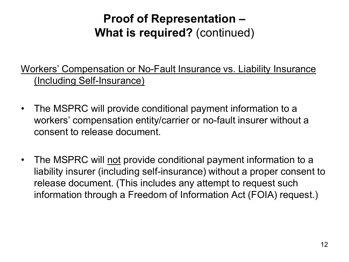Workers' Compensation or No-Fault Insurance vs. Liability Insurance (Including Self-Insurance)

- The MSPRC will provide conditional payment information to a workers' compensation entity/carrier or no-fault insurer without a consent to release document.
- The MSPRC will not provide conditional payment information to a liability insurer (including self-insurance) without a proper consent to release document. (This includes any attempt to request such information through a Freedom of Information Act (FOIA) request.)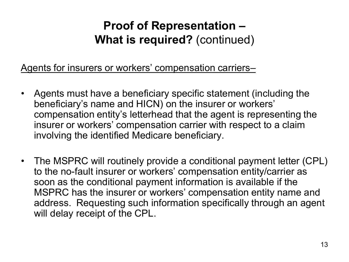Agents for insurers or workers' compensation carriers–

- Agents must have a beneficiary specific statement (including the beneficiary's name and HICN) on the insurer or workers' compensation entity's letterhead that the agent is representing the insurer or workers' compensation carrier with respect to a claim involving the identified Medicare beneficiary.
- The MSPRC will routinely provide a conditional payment letter (CPL) to the no-fault insurer or workers' compensation entity/carrier as soon as the conditional payment information is available if the MSPRC has the insurer or workers' compensation entity name and address. Requesting such information specifically through an agent will delay receipt of the CPL.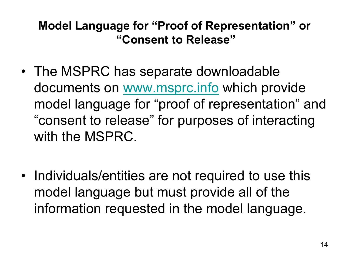### **Model Language for "Proof of Representation" or "Consent to Release"**

- The MSPRC has separate downloadable documents on [www.msprc.info](http://www.msprc.info/) which provide model language for "proof of representation" and "consent to release" for purposes of interacting with the MSPRC.
- Individuals/entities are not required to use this model language but must provide all of the information requested in the model language.